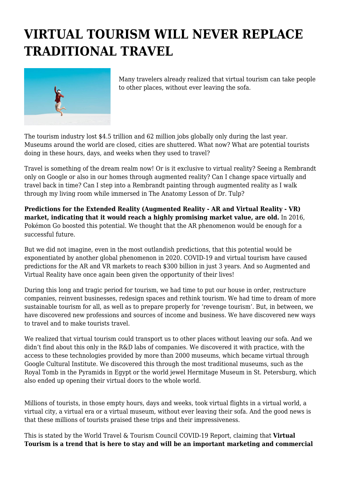## **VIRTUAL TOURISM WILL NEVER REPLACE TRADITIONAL TRAVEL**



Many travelers already realized that virtual tourism can take people to other places, without ever leaving the sofa.

The tourism industry lost \$4.5 trillion and 62 million jobs globally only during the last year. Museums around the world are closed, cities are shuttered. What now? What are potential tourists doing in these hours, days, and weeks when they used to travel?

Travel is something of the dream realm now! Or is it exclusive to virtual reality? Seeing a Rembrandt only on Google or also in our homes through augmented reality? Can I change space virtually and travel back in time? Can I step into a Rembrandt painting through augmented reality as I walk through my living room while immersed in The Anatomy Lesson of Dr. Tulp?

**Predictions for the Extended Reality (Augmented Reality - AR and Virtual Reality - VR) market, indicating that it would reach a highly promising market value, are old.** In 2016, Pokémon Go boosted this potential. We thought that the AR phenomenon would be enough for a successful future.

But we did not imagine, even in the most outlandish predictions, that this potential would be exponentiated by another global phenomenon in 2020. COVID-19 and virtual tourism have caused predictions for the AR and VR markets to reach \$300 billion in just 3 years. And so Augmented and Virtual Reality have once again been given the opportunity of their lives!

During this long and tragic period for tourism, we had time to put our house in order, restructure companies, reinvent businesses, redesign spaces and rethink tourism. We had time to dream of more sustainable tourism for all, as well as to prepare properly for 'revenge tourism'. But, in between, we have discovered new professions and sources of income and business. We have discovered new ways to travel and to make tourists travel.

We realized that virtual tourism could transport us to other places without leaving our sofa. And we didn't find about this only in the R&D labs of companies. We discovered it with practice, with the access to these technologies provided by more than 2000 museums, which became virtual through Google Cultural Institute. We discovered this through the most traditional museums, such as the Royal Tomb in the Pyramids in Egypt or the world jewel Hermitage Museum in St. Petersburg, which also ended up opening their virtual doors to the whole world.

Millions of tourists, in those empty hours, days and weeks, took virtual flights in a virtual world, a virtual city, a virtual era or a virtual museum, without ever leaving their sofa. And the good news is that these millions of tourists praised these trips and their impressiveness.

This is stated by the World Travel & Tourism Council COVID-19 Report, claiming that **Virtual Tourism is a trend that is here to stay and will be an important marketing and commercial**